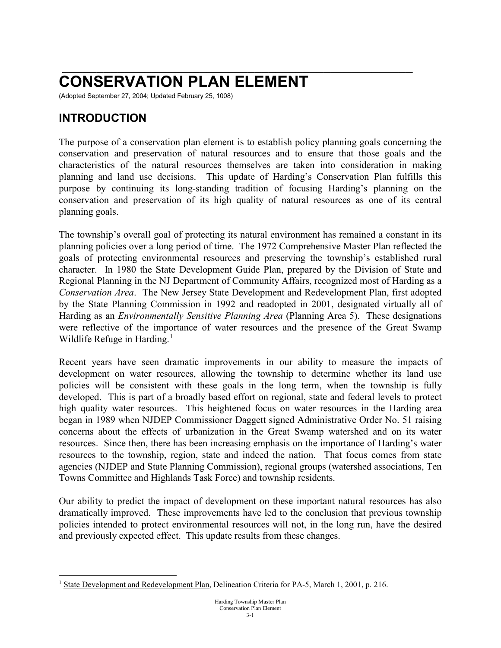## **\_\_\_\_\_\_\_\_\_\_\_\_\_\_\_\_\_\_\_\_\_\_\_\_\_\_\_\_\_\_\_\_\_\_\_\_\_\_\_\_\_\_\_\_\_\_\_\_\_\_\_ CONSERVATION PLAN ELEMENT**

(Adopted September 27, 2004; Updated February 25, 1008)

### **INTRODUCTION**

The purpose of a conservation plan element is to establish policy planning goals concerning the conservation and preservation of natural resources and to ensure that those goals and the characteristics of the natural resources themselves are taken into consideration in making planning and land use decisions. This update of Harding's Conservation Plan fulfills this purpose by continuing its long-standing tradition of focusing Harding's planning on the conservation and preservation of its high quality of natural resources as one of its central planning goals.

The township's overall goal of protecting its natural environment has remained a constant in its planning policies over a long period of time. The 1972 Comprehensive Master Plan reflected the goals of protecting environmental resources and preserving the township's established rural character. In 1980 the State Development Guide Plan, prepared by the Division of State and Regional Planning in the NJ Department of Community Affairs, recognized most of Harding as a *Conservation Area*. The New Jersey State Development and Redevelopment Plan, first adopted by the State Planning Commission in 1992 and readopted in 2001, designated virtually all of Harding as an *Environmentally Sensitive Planning Area* (Planning Area 5). These designations were reflective of the importance of water resources and the presence of the Great Swamp Wildlife Refuge in Harding. $<sup>1</sup>$  $<sup>1</sup>$  $<sup>1</sup>$ </sup>

Recent years have seen dramatic improvements in our ability to measure the impacts of development on water resources, allowing the township to determine whether its land use policies will be consistent with these goals in the long term, when the township is fully developed. This is part of a broadly based effort on regional, state and federal levels to protect high quality water resources. This heightened focus on water resources in the Harding area began in 1989 when NJDEP Commissioner Daggett signed Administrative Order No. 51 raising concerns about the effects of urbanization in the Great Swamp watershed and on its water resources. Since then, there has been increasing emphasis on the importance of Harding's water resources to the township, region, state and indeed the nation. That focus comes from state agencies (NJDEP and State Planning Commission), regional groups (watershed associations, Ten Towns Committee and Highlands Task Force) and township residents.

Our ability to predict the impact of development on these important natural resources has also dramatically improved. These improvements have led to the conclusion that previous township policies intended to protect environmental resources will not, in the long run, have the desired and previously expected effect. This update results from these changes.

<span id="page-0-0"></span><sup>&</sup>lt;sup>1</sup> State Development and Redevelopment Plan, Delineation Criteria for PA-5, March 1, 2001, p. 216.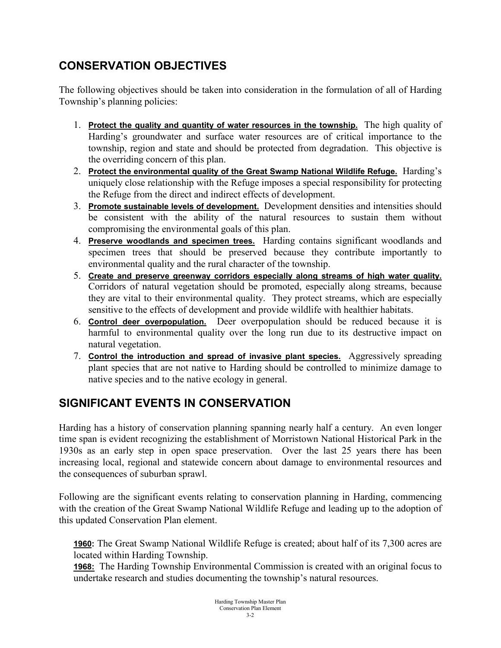## **CONSERVATION OBJECTIVES**

The following objectives should be taken into consideration in the formulation of all of Harding Township's planning policies:

- 1. **Protect the quality and quantity of water resources in the township.** The high quality of Harding's groundwater and surface water resources are of critical importance to the township, region and state and should be protected from degradation. This objective is the overriding concern of this plan.
- 2. **Protect the environmental quality of the Great Swamp National Wildlife Refuge.** Harding's uniquely close relationship with the Refuge imposes a special responsibility for protecting the Refuge from the direct and indirect effects of development.
- 3. **Promote sustainable levels of development.** Development densities and intensities should be consistent with the ability of the natural resources to sustain them without compromising the environmental goals of this plan.
- 4. **Preserve woodlands and specimen trees.** Harding contains significant woodlands and specimen trees that should be preserved because they contribute importantly to environmental quality and the rural character of the township.
- 5. **Create and preserve greenway corridors especially along streams of high water quality.**  Corridors of natural vegetation should be promoted, especially along streams, because they are vital to their environmental quality. They protect streams, which are especially sensitive to the effects of development and provide wildlife with healthier habitats.
- 6. **Control deer overpopulation.** Deer overpopulation should be reduced because it is harmful to environmental quality over the long run due to its destructive impact on natural vegetation.
- 7. **Control the introduction and spread of invasive plant species.** Aggressively spreading plant species that are not native to Harding should be controlled to minimize damage to native species and to the native ecology in general.

# **SIGNIFICANT EVENTS IN CONSERVATION**

Harding has a history of conservation planning spanning nearly half a century. An even longer time span is evident recognizing the establishment of Morristown National Historical Park in the 1930s as an early step in open space preservation. Over the last 25 years there has been increasing local, regional and statewide concern about damage to environmental resources and the consequences of suburban sprawl.

Following are the significant events relating to conservation planning in Harding, commencing with the creation of the Great Swamp National Wildlife Refuge and leading up to the adoption of this updated Conservation Plan element.

**1960:** The Great Swamp National Wildlife Refuge is created; about half of its 7,300 acres are located within Harding Township.

**1968:** The Harding Township Environmental Commission is created with an original focus to undertake research and studies documenting the township's natural resources.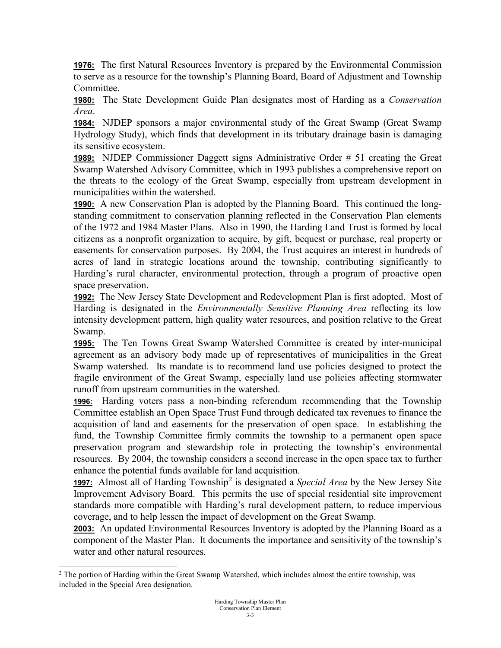**1976:** The first Natural Resources Inventory is prepared by the Environmental Commission to serve as a resource for the township's Planning Board, Board of Adjustment and Township Committee.

**1980:** The State Development Guide Plan designates most of Harding as a *Conservation Area*.

**1984:** NJDEP sponsors a major environmental study of the Great Swamp (Great Swamp Hydrology Study), which finds that development in its tributary drainage basin is damaging its sensitive ecosystem.

**1989:** NJDEP Commissioner Daggett signs Administrative Order # 51 creating the Great Swamp Watershed Advisory Committee, which in 1993 publishes a comprehensive report on the threats to the ecology of the Great Swamp, especially from upstream development in municipalities within the watershed.

**1990:** A new Conservation Plan is adopted by the Planning Board. This continued the longstanding commitment to conservation planning reflected in the Conservation Plan elements of the 1972 and 1984 Master Plans. Also in 1990, the Harding Land Trust is formed by local citizens as a nonprofit organization to acquire, by gift, bequest or purchase, real property or easements for conservation purposes. By 2004, the Trust acquires an interest in hundreds of acres of land in strategic locations around the township, contributing significantly to Harding's rural character, environmental protection, through a program of proactive open space preservation.

**1992:** The New Jersey State Development and Redevelopment Plan is first adopted. Most of Harding is designated in the *Environmentally Sensitive Planning Area* reflecting its low intensity development pattern, high quality water resources, and position relative to the Great Swamp.

**1995:** The Ten Towns Great Swamp Watershed Committee is created by inter-municipal agreement as an advisory body made up of representatives of municipalities in the Great Swamp watershed. Its mandate is to recommend land use policies designed to protect the fragile environment of the Great Swamp, especially land use policies affecting stormwater runoff from upstream communities in the watershed.

**1996:** Harding voters pass a non-binding referendum recommending that the Township Committee establish an Open Space Trust Fund through dedicated tax revenues to finance the acquisition of land and easements for the preservation of open space. In establishing the fund, the Township Committee firmly commits the township to a permanent open space preservation program and stewardship role in protecting the township's environmental resources. By 2004, the township considers a second increase in the open space tax to further enhance the potential funds available for land acquisition.

**1997:** Almost all of Harding Township<sup>[2](#page-2-0)</sup> is designated a *Special Area* by the New Jersey Site Improvement Advisory Board. This permits the use of special residential site improvement standards more compatible with Harding's rural development pattern, to reduce impervious coverage, and to help lessen the impact of development on the Great Swamp.

**2003:** An updated Environmental Resources Inventory is adopted by the Planning Board as a component of the Master Plan. It documents the importance and sensitivity of the township's water and other natural resources.

<span id="page-2-0"></span><sup>&</sup>lt;sup>2</sup> The portion of Harding within the Great Swamp Watershed, which includes almost the entire township, was included in the Special Area designation.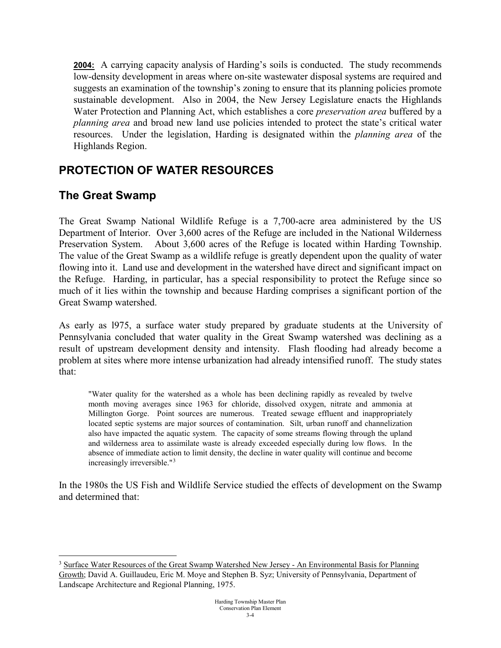**2004:** A carrying capacity analysis of Harding's soils is conducted. The study recommends low-density development in areas where on-site wastewater disposal systems are required and suggests an examination of the township's zoning to ensure that its planning policies promote sustainable development. Also in 2004, the New Jersey Legislature enacts the Highlands Water Protection and Planning Act, which establishes a core *preservation area* buffered by a *planning area* and broad new land use policies intended to protect the state's critical water resources. Under the legislation, Harding is designated within the *planning area* of the Highlands Region.

### **PROTECTION OF WATER RESOURCES**

### **The Great Swamp**

The Great Swamp National Wildlife Refuge is a 7,700-acre area administered by the US Department of Interior. Over 3,600 acres of the Refuge are included in the National Wilderness Preservation System. About 3,600 acres of the Refuge is located within Harding Township. The value of the Great Swamp as a wildlife refuge is greatly dependent upon the quality of water flowing into it. Land use and development in the watershed have direct and significant impact on the Refuge. Harding, in particular, has a special responsibility to protect the Refuge since so much of it lies within the township and because Harding comprises a significant portion of the Great Swamp watershed.

As early as l975, a surface water study prepared by graduate students at the University of Pennsylvania concluded that water quality in the Great Swamp watershed was declining as a result of upstream development density and intensity. Flash flooding had already become a problem at sites where more intense urbanization had already intensified runoff. The study states that:

"Water quality for the watershed as a whole has been declining rapidly as revealed by twelve month moving averages since 1963 for chloride, dissolved oxygen, nitrate and ammonia at Millington Gorge. Point sources are numerous. Treated sewage effluent and inappropriately located septic systems are major sources of contamination. Silt, urban runoff and channelization also have impacted the aquatic system. The capacity of some streams flowing through the upland and wilderness area to assimilate waste is already exceeded especially during low flows. In the absence of immediate action to limit density, the decline in water quality will continue and become increasingly irreversible."[3](#page-3-0)

In the 1980s the US Fish and Wildlife Service studied the effects of development on the Swamp and determined that:

<span id="page-3-0"></span><sup>&</sup>lt;sup>3</sup> Surface Water Resources of the Great Swamp Watershed New Jersey - An Environmental Basis for Planning Growth; David A. Guillaudeu, Eric M. Moye and Stephen B. Syz; University of Pennsylvania, Department of Landscape Architecture and Regional Planning, 1975.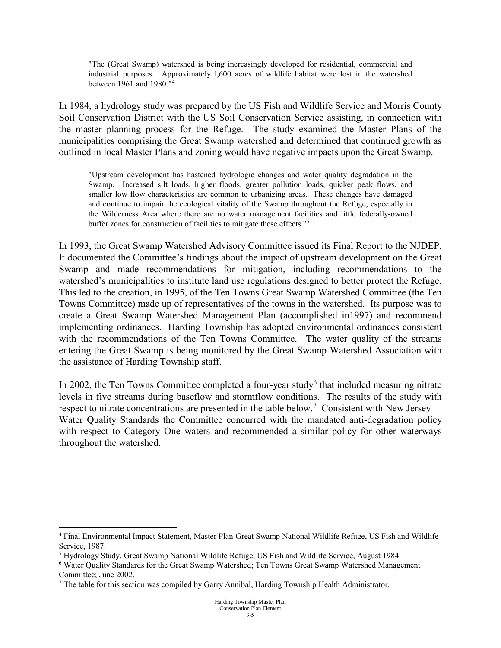"The (Great Swamp) watershed is being increasingly developed for residential, commercial and industrial purposes. Approximately l,600 acres of wildlife habitat were lost in the watershed between 1961 and 1980."[4](#page-4-0)

In 1984, a hydrology study was prepared by the US Fish and Wildlife Service and Morris County Soil Conservation District with the US Soil Conservation Service assisting, in connection with the master planning process for the Refuge. The study examined the Master Plans of the municipalities comprising the Great Swamp watershed and determined that continued growth as outlined in local Master Plans and zoning would have negative impacts upon the Great Swamp.

"Upstream development has hastened hydrologic changes and water quality degradation in the Swamp. Increased silt loads, higher floods, greater pollution loads, quicker peak flows, and smaller low flow characteristics are common to urbanizing areas. These changes have damaged and continue to impair the ecological vitality of the Swamp throughout the Refuge, especially in the Wilderness Area where there are no water management facilities and little federally-owned buffer zones for construction of facilities to mitigate these effects."[5](#page-4-1)

In 1993, the Great Swamp Watershed Advisory Committee issued its Final Report to the NJDEP. It documented the Committee's findings about the impact of upstream development on the Great Swamp and made recommendations for mitigation, including recommendations to the watershed's municipalities to institute land use regulations designed to better protect the Refuge. This led to the creation, in 1995, of the Ten Towns Great Swamp Watershed Committee (the Ten Towns Committee) made up of representatives of the towns in the watershed. Its purpose was to create a Great Swamp Watershed Management Plan (accomplished in1997) and recommend implementing ordinances. Harding Township has adopted environmental ordinances consistent with the recommendations of the Ten Towns Committee. The water quality of the streams entering the Great Swamp is being monitored by the Great Swamp Watershed Association with the assistance of Harding Township staff.

In 2002, the Ten Towns Committee completed a four-year study<sup>[6](#page-4-2)</sup> that included measuring nitrate levels in five streams during baseflow and stormflow conditions. The results of the study with respect to nitrate concentrations are presented in the table below.<sup>[7](#page-4-3)</sup> Consistent with New Jersey Water Quality Standards the Committee concurred with the mandated anti-degradation policy with respect to Category One waters and recommended a similar policy for other waterways throughout the watershed.

<span id="page-4-0"></span><sup>&</sup>lt;sup>4</sup> Final Environmental Impact Statement, Master Plan-Great Swamp National Wildlife Refuge, US Fish and Wildlife Service, 1987.

<span id="page-4-1"></span><sup>5</sup> Hydrology Study, Great Swamp National Wildlife Refuge, US Fish and Wildlife Service, August 1984.

<span id="page-4-2"></span><sup>6</sup> Water Quality Standards for the Great Swamp Watershed; Ten Towns Great Swamp Watershed Management Committee; June 2002.

<span id="page-4-3"></span><sup>&</sup>lt;sup>7</sup> The table for this section was compiled by Garry Annibal, Harding Township Health Administrator.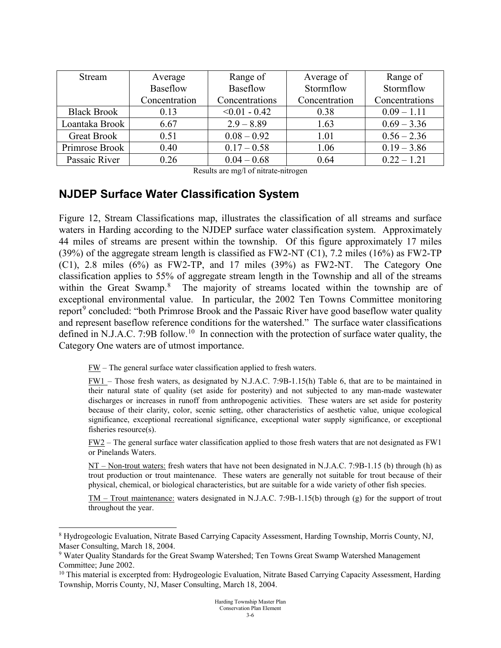| Stream             | Average       | Range of        | Average of    | Range of       |
|--------------------|---------------|-----------------|---------------|----------------|
|                    | Baseflow      | Baseflow        | Stormflow     | Stormflow      |
|                    | Concentration | Concentrations  | Concentration | Concentrations |
| <b>Black Brook</b> | 0.13          | $< 0.01 - 0.42$ | 0.38          | $0.09 - 1.11$  |
| Loantaka Brook     | 6.67          | $2.9 - 8.89$    | 1.63          | $0.69 - 3.36$  |
| <b>Great Brook</b> | 0.51          | $0.08 - 0.92$   | 1.01          | $0.56 - 2.36$  |
| Primrose Brook     | 0.40          | $0.17 - 0.58$   | 1.06          | $0.19 - 3.86$  |
| Passaic River      | 0.26          | $0.04 - 0.68$   | 0.64          | $0.22 - 1.21$  |

Results are mg/l of nitrate-nitrogen

#### **NJDEP Surface Water Classification System**

Figure 12, Stream Classifications map, illustrates the classification of all streams and surface waters in Harding according to the NJDEP surface water classification system. Approximately 44 miles of streams are present within the township. Of this figure approximately 17 miles (39%) of the aggregate stream length is classified as  $FW2-NT (C1)$ , 7.2 miles (16%) as  $FW2-TP$ (C1), 2.8 miles (6%) as FW2-TP, and 17 miles (39%) as FW2-NT. The Category One classification applies to 55% of aggregate stream length in the Township and all of the streams within the Great Swamp.<sup>[8](#page-5-0)</sup> The majority of streams located within the township are of exceptional environmental value. In particular, the 2002 Ten Towns Committee monitoring report<sup>[9](#page-5-1)</sup> concluded: "both Primrose Brook and the Passaic River have good baseflow water quality and represent baseflow reference conditions for the watershed." The surface water classifications defined in N.J.A.C. 7:9B follow.<sup>[10](#page-5-2)</sup> In connection with the protection of surface water quality, the Category One waters are of utmost importance.

 $FW$  – The general surface water classification applied to fresh waters.</u>

FW1 – Those fresh waters, as designated by N.J.A.C. 7:9B-1.15(h) Table 6, that are to be maintained in their natural state of quality (set aside for posterity) and not subjected to any man-made wastewater discharges or increases in runoff from anthropogenic activities. These waters are set aside for posterity because of their clarity, color, scenic setting, other characteristics of aesthetic value, unique ecological significance, exceptional recreational significance, exceptional water supply significance, or exceptional fisheries resource(s).

FW2 – The general surface water classification applied to those fresh waters that are not designated as FW1 or Pinelands Waters.

NT – Non-trout waters: fresh waters that have not been designated in N.J.A.C. 7:9B-1.15 (b) through (h) as trout production or trout maintenance. These waters are generally not suitable for trout because of their physical, chemical, or biological characteristics, but are suitable for a wide variety of other fish species.

TM – Trout maintenance: waters designated in N.J.A.C. 7:9B-1.15(b) through (g) for the support of trout throughout the year.

<span id="page-5-0"></span> <sup>8</sup> Hydrogeologic Evaluation, Nitrate Based Carrying Capacity Assessment, Harding Township, Morris County, NJ, Maser Consulting, March 18, 2004.

<span id="page-5-1"></span><sup>9</sup> Water Quality Standards for the Great Swamp Watershed; Ten Towns Great Swamp Watershed Management Committee; June 2002.

<span id="page-5-2"></span> $10$  This material is excerpted from: Hydrogeologic Evaluation, Nitrate Based Carrying Capacity Assessment, Harding Township, Morris County, NJ, Maser Consulting, March 18, 2004.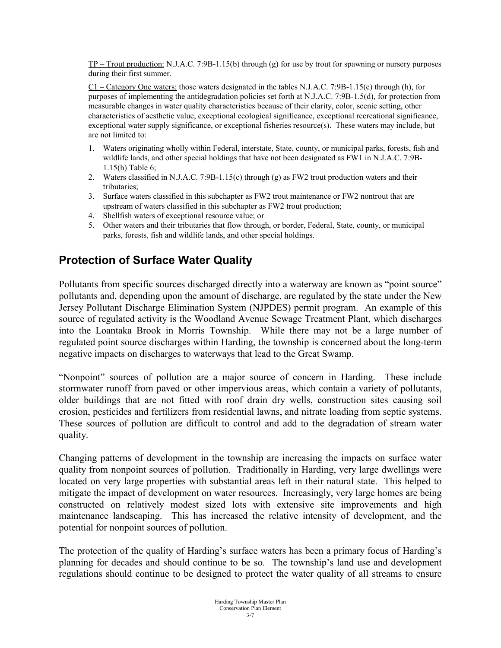$TP -$ **TP** $– Trout production: N.J.A.C. 7:9B-1.15(b) through (g) for use by trout for spawning or nursery purposes$ during their first summer.

C1 – Category One waters: those waters designated in the tables N.J.A.C. 7:9B-1.15(c) through (h), for purposes of implementing the antidegradation policies set forth at N.J.A.C. 7:9B-1.5(d), for protection from measurable changes in water quality characteristics because of their clarity, color, scenic setting, other characteristics of aesthetic value, exceptional ecological significance, exceptional recreational significance, exceptional water supply significance, or exceptional fisheries resource(s). These waters may include, but are not limited to:

- 1. Waters originating wholly within Federal, interstate, State, county, or municipal parks, forests, fish and wildlife lands, and other special holdings that have not been designated as FW1 in N.J.A.C. 7:9B-1.15(h) Table 6;
- 2. Waters classified in N.J.A.C. 7:9B-1.15(c) through (g) as FW2 trout production waters and their tributaries;
- 3. Surface waters classified in this subchapter as FW2 trout maintenance or FW2 nontrout that are upstream of waters classified in this subchapter as FW2 trout production;
- 4. Shellfish waters of exceptional resource value; or
- 5. Other waters and their tributaries that flow through, or border, Federal, State, county, or municipal parks, forests, fish and wildlife lands, and other special holdings.

### **Protection of Surface Water Quality**

Pollutants from specific sources discharged directly into a waterway are known as "point source" pollutants and, depending upon the amount of discharge, are regulated by the state under the New Jersey Pollutant Discharge Elimination System (NJPDES) permit program. An example of this source of regulated activity is the Woodland Avenue Sewage Treatment Plant, which discharges into the Loantaka Brook in Morris Township. While there may not be a large number of regulated point source discharges within Harding, the township is concerned about the long-term negative impacts on discharges to waterways that lead to the Great Swamp.

"Nonpoint" sources of pollution are a major source of concern in Harding. These include stormwater runoff from paved or other impervious areas, which contain a variety of pollutants, older buildings that are not fitted with roof drain dry wells, construction sites causing soil erosion, pesticides and fertilizers from residential lawns, and nitrate loading from septic systems. These sources of pollution are difficult to control and add to the degradation of stream water quality.

Changing patterns of development in the township are increasing the impacts on surface water quality from nonpoint sources of pollution. Traditionally in Harding, very large dwellings were located on very large properties with substantial areas left in their natural state. This helped to mitigate the impact of development on water resources. Increasingly, very large homes are being constructed on relatively modest sized lots with extensive site improvements and high maintenance landscaping. This has increased the relative intensity of development, and the potential for nonpoint sources of pollution.

The protection of the quality of Harding's surface waters has been a primary focus of Harding's planning for decades and should continue to be so. The township's land use and development regulations should continue to be designed to protect the water quality of all streams to ensure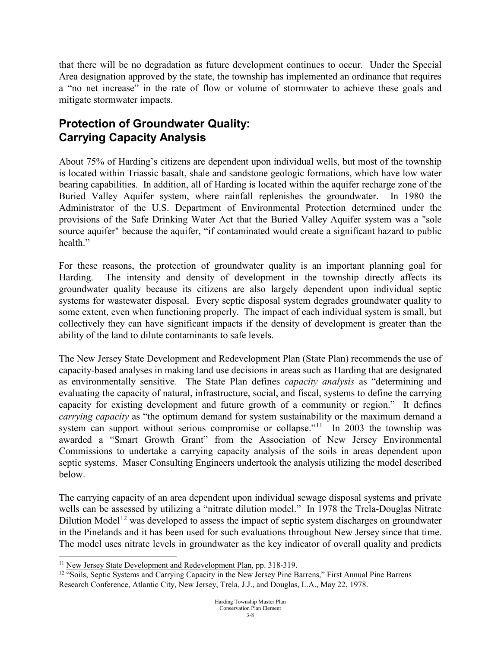that there will be no degradation as future development continues to occur. Under the Special Area designation approved by the state, the township has implemented an ordinance that requires a "no net increase" in the rate of flow or volume of stormwater to achieve these goals and mitigate stormwater impacts.

### **Protection of Groundwater Quality: Carrying Capacity Analysis**

About 75% of Harding's citizens are dependent upon individual wells, but most of the township is located within Triassic basalt, shale and sandstone geologic formations, which have low water bearing capabilities. In addition, all of Harding is located within the aquifer recharge zone of the Buried Valley Aquifer system, where rainfall replenishes the groundwater. In 1980 the Administrator of the U.S. Department of Environmental Protection determined under the provisions of the Safe Drinking Water Act that the Buried Valley Aquifer system was a "sole source aquifer" because the aquifer, "if contaminated would create a significant hazard to public health."

For these reasons, the protection of groundwater quality is an important planning goal for Harding. The intensity and density of development in the township directly affects its groundwater quality because its citizens are also largely dependent upon individual septic systems for wastewater disposal. Every septic disposal system degrades groundwater quality to some extent, even when functioning properly. The impact of each individual system is small, but collectively they can have significant impacts if the density of development is greater than the ability of the land to dilute contaminants to safe levels.

The New Jersey State Development and Redevelopment Plan (State Plan) recommends the use of capacity-based analyses in making land use decisions in areas such as Harding that are designated as environmentally sensitive*.* The State Plan defines *capacity analysis* as "determining and evaluating the capacity of natural, infrastructure, social, and fiscal, systems to define the carrying capacity for existing development and future growth of a community or region." It defines *carrying capacity* as "the optimum demand for system sustainability or the maximum demand a system can support without serious compromise or collapse."<sup>[11](#page-7-0)</sup> In 2003 the township was awarded a "Smart Growth Grant" from the Association of New Jersey Environmental Commissions to undertake a carrying capacity analysis of the soils in areas dependent upon septic systems. Maser Consulting Engineers undertook the analysis utilizing the model described below.

The carrying capacity of an area dependent upon individual sewage disposal systems and private wells can be assessed by utilizing a "nitrate dilution model." In 1978 the Trela-Douglas Nitrate Dilution Model<sup>[12](#page-7-1)</sup> was developed to assess the impact of septic system discharges on groundwater in the Pinelands and it has been used for such evaluations throughout New Jersey since that time. The model uses nitrate levels in groundwater as the key indicator of overall quality and predicts

<span id="page-7-0"></span> <sup>11</sup> New Jersey State Development and Redevelopment Plan, pp. 318-319.

<span id="page-7-1"></span><sup>&</sup>lt;sup>12</sup> "Soils, Septic Systems and Carrying Capacity in the New Jersey Pine Barrens," First Annual Pine Barrens Research Conference, Atlantic City, New Jersey, Trela, J.J., and Douglas, L.A., May 22, 1978.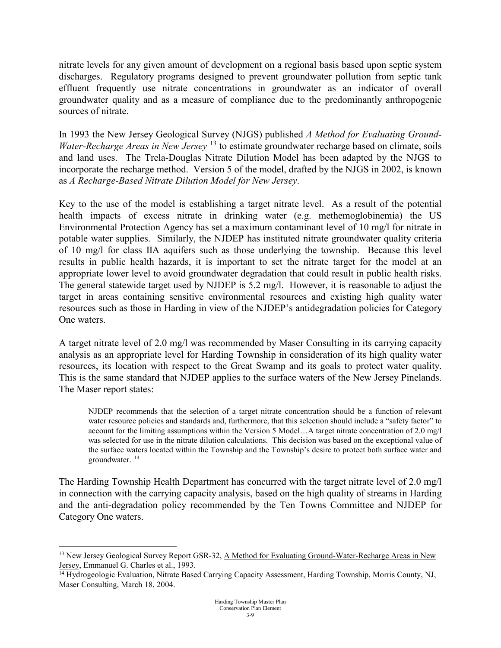nitrate levels for any given amount of development on a regional basis based upon septic system discharges. Regulatory programs designed to prevent groundwater pollution from septic tank effluent frequently use nitrate concentrations in groundwater as an indicator of overall groundwater quality and as a measure of compliance due to the predominantly anthropogenic sources of nitrate.

In 1993 the New Jersey Geological Survey (NJGS) published *A Method for Evaluating Ground-Water-Recharge Areas in New Jersey* <sup>[13](#page-8-0)</sup> to estimate groundwater recharge based on climate, soils and land uses. The Trela-Douglas Nitrate Dilution Model has been adapted by the NJGS to incorporate the recharge method. Version 5 of the model, drafted by the NJGS in 2002, is known as *A Recharge-Based Nitrate Dilution Model for New Jersey*.

Key to the use of the model is establishing a target nitrate level. As a result of the potential health impacts of excess nitrate in drinking water (e.g. methemoglobinemia) the US Environmental Protection Agency has set a maximum contaminant level of 10 mg/l for nitrate in potable water supplies. Similarly, the NJDEP has instituted nitrate groundwater quality criteria of 10 mg/l for class IIA aquifers such as those underlying the township. Because this level results in public health hazards, it is important to set the nitrate target for the model at an appropriate lower level to avoid groundwater degradation that could result in public health risks. The general statewide target used by NJDEP is 5.2 mg/l. However, it is reasonable to adjust the target in areas containing sensitive environmental resources and existing high quality water resources such as those in Harding in view of the NJDEP's antidegradation policies for Category One waters.

A target nitrate level of 2.0 mg/l was recommended by Maser Consulting in its carrying capacity analysis as an appropriate level for Harding Township in consideration of its high quality water resources, its location with respect to the Great Swamp and its goals to protect water quality. This is the same standard that NJDEP applies to the surface waters of the New Jersey Pinelands. The Maser report states:

NJDEP recommends that the selection of a target nitrate concentration should be a function of relevant water resource policies and standards and, furthermore, that this selection should include a "safety factor" to account for the limiting assumptions within the Version 5 Model…A target nitrate concentration of 2.0 mg/l was selected for use in the nitrate dilution calculations. This decision was based on the exceptional value of the surface waters located within the Township and the Township's desire to protect both surface water and groundwater. [14](#page-8-1)

The Harding Township Health Department has concurred with the target nitrate level of 2.0 mg/l in connection with the carrying capacity analysis, based on the high quality of streams in Harding and the anti-degradation policy recommended by the Ten Towns Committee and NJDEP for Category One waters.

<span id="page-8-0"></span><sup>&</sup>lt;sup>13</sup> New Jersey Geological Survey Report GSR-32, A Method for Evaluating Ground-Water-Recharge Areas in New Jersey, Emmanuel G. Charles et al., 1993.

<span id="page-8-1"></span><sup>&</sup>lt;sup>14</sup> Hydrogeologic Evaluation, Nitrate Based Carrying Capacity Assessment, Harding Township, Morris County, NJ, Maser Consulting, March 18, 2004.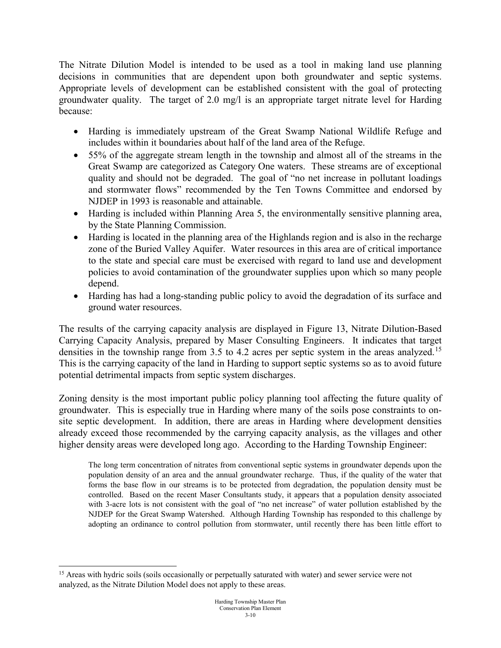The Nitrate Dilution Model is intended to be used as a tool in making land use planning decisions in communities that are dependent upon both groundwater and septic systems. Appropriate levels of development can be established consistent with the goal of protecting groundwater quality. The target of 2.0 mg/l is an appropriate target nitrate level for Harding because:

- Harding is immediately upstream of the Great Swamp National Wildlife Refuge and includes within it boundaries about half of the land area of the Refuge.
- 55% of the aggregate stream length in the township and almost all of the streams in the Great Swamp are categorized as Category One waters. These streams are of exceptional quality and should not be degraded. The goal of "no net increase in pollutant loadings and stormwater flows" recommended by the Ten Towns Committee and endorsed by NJDEP in 1993 is reasonable and attainable.
- Harding is included within Planning Area 5, the environmentally sensitive planning area, by the State Planning Commission.
- Harding is located in the planning area of the Highlands region and is also in the recharge zone of the Buried Valley Aquifer.Water resources in this area are of critical importance to the state and special care must be exercised with regard to land use and development policies to avoid contamination of the groundwater supplies upon which so many people depend.
- Harding has had a long-standing public policy to avoid the degradation of its surface and ground water resources.

The results of the carrying capacity analysis are displayed in Figure 13, Nitrate Dilution-Based Carrying Capacity Analysis, prepared by Maser Consulting Engineers. It indicates that target densities in the township range from 3.5 to 4.2 acres per septic system in the areas analyzed.<sup>[15](#page-9-0)</sup> This is the carrying capacity of the land in Harding to support septic systems so as to avoid future potential detrimental impacts from septic system discharges.

Zoning density is the most important public policy planning tool affecting the future quality of groundwater. This is especially true in Harding where many of the soils pose constraints to onsite septic development. In addition, there are areas in Harding where development densities already exceed those recommended by the carrying capacity analysis, as the villages and other higher density areas were developed long ago. According to the Harding Township Engineer:

The long term concentration of nitrates from conventional septic systems in groundwater depends upon the population density of an area and the annual groundwater recharge. Thus, if the quality of the water that forms the base flow in our streams is to be protected from degradation, the population density must be controlled. Based on the recent Maser Consultants study, it appears that a population density associated with 3-acre lots is not consistent with the goal of "no net increase" of water pollution established by the NJDEP for the Great Swamp Watershed. Although Harding Township has responded to this challenge by adopting an ordinance to control pollution from stormwater, until recently there has been little effort to

<span id="page-9-0"></span><sup>&</sup>lt;sup>15</sup> Areas with hydric soils (soils occasionally or perpetually saturated with water) and sewer service were not analyzed, as the Nitrate Dilution Model does not apply to these areas.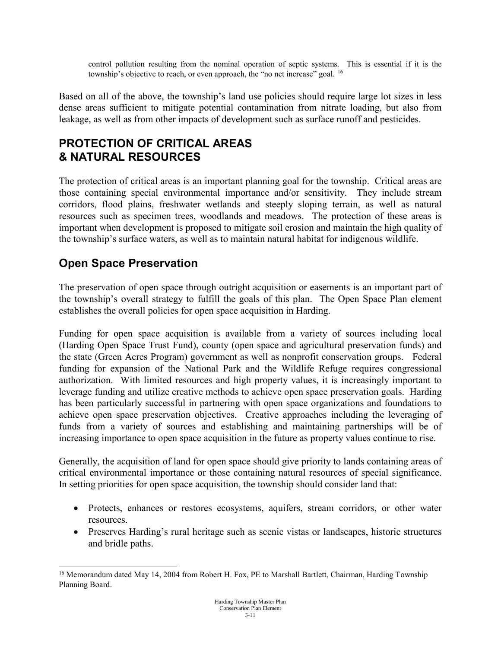control pollution resulting from the nominal operation of septic systems. This is essential if it is the township's objective to reach, or even approach, the "no net increase" goal. <sup>[16](#page-10-0)</sup>

Based on all of the above, the township's land use policies should require large lot sizes in less dense areas sufficient to mitigate potential contamination from nitrate loading, but also from leakage, as well as from other impacts of development such as surface runoff and pesticides.

#### **PROTECTION OF CRITICAL AREAS & NATURAL RESOURCES**

The protection of critical areas is an important planning goal for the township. Critical areas are those containing special environmental importance and/or sensitivity. They include stream corridors, flood plains, freshwater wetlands and steeply sloping terrain, as well as natural resources such as specimen trees, woodlands and meadows. The protection of these areas is important when development is proposed to mitigate soil erosion and maintain the high quality of the township's surface waters, as well as to maintain natural habitat for indigenous wildlife.

### **Open Space Preservation**

The preservation of open space through outright acquisition or easements is an important part of the township's overall strategy to fulfill the goals of this plan. The Open Space Plan element establishes the overall policies for open space acquisition in Harding.

Funding for open space acquisition is available from a variety of sources including local (Harding Open Space Trust Fund), county (open space and agricultural preservation funds) and the state (Green Acres Program) government as well as nonprofit conservation groups. Federal funding for expansion of the National Park and the Wildlife Refuge requires congressional authorization. With limited resources and high property values, it is increasingly important to leverage funding and utilize creative methods to achieve open space preservation goals. Harding has been particularly successful in partnering with open space organizations and foundations to achieve open space preservation objectives. Creative approaches including the leveraging of funds from a variety of sources and establishing and maintaining partnerships will be of increasing importance to open space acquisition in the future as property values continue to rise.

Generally, the acquisition of land for open space should give priority to lands containing areas of critical environmental importance or those containing natural resources of special significance. In setting priorities for open space acquisition, the township should consider land that:

- Protects, enhances or restores ecosystems, aquifers, stream corridors, or other water resources.
- Preserves Harding's rural heritage such as scenic vistas or landscapes, historic structures and bridle paths.

<span id="page-10-0"></span><sup>&</sup>lt;sup>16</sup> Memorandum dated May 14, 2004 from Robert H. Fox, PE to Marshall Bartlett, Chairman, Harding Township Planning Board.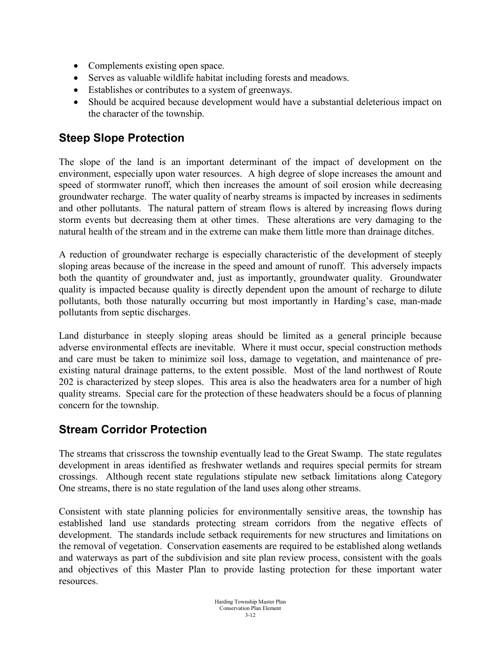- Complements existing open space.
- Serves as valuable wildlife habitat including forests and meadows.
- Establishes or contributes to a system of greenways.
- Should be acquired because development would have a substantial deleterious impact on the character of the township.

#### **Steep Slope Protection**

The slope of the land is an important determinant of the impact of development on the environment, especially upon water resources. A high degree of slope increases the amount and speed of stormwater runoff, which then increases the amount of soil erosion while decreasing groundwater recharge. The water quality of nearby streams is impacted by increases in sediments and other pollutants. The natural pattern of stream flows is altered by increasing flows during storm events but decreasing them at other times. These alterations are very damaging to the natural health of the stream and in the extreme can make them little more than drainage ditches.

A reduction of groundwater recharge is especially characteristic of the development of steeply sloping areas because of the increase in the speed and amount of runoff. This adversely impacts both the quantity of groundwater and, just as importantly, groundwater quality. Groundwater quality is impacted because quality is directly dependent upon the amount of recharge to dilute pollutants, both those naturally occurring but most importantly in Harding's case, man-made pollutants from septic discharges.

Land disturbance in steeply sloping areas should be limited as a general principle because adverse environmental effects are inevitable. Where it must occur, special construction methods and care must be taken to minimize soil loss, damage to vegetation, and maintenance of preexisting natural drainage patterns, to the extent possible. Most of the land northwest of Route 202 is characterized by steep slopes. This area is also the headwaters area for a number of high quality streams. Special care for the protection of these headwaters should be a focus of planning concern for the township.

### **Stream Corridor Protection**

The streams that crisscross the township eventually lead to the Great Swamp. The state regulates development in areas identified as freshwater wetlands and requires special permits for stream crossings. Although recent state regulations stipulate new setback limitations along Category One streams, there is no state regulation of the land uses along other streams.

Consistent with state planning policies for environmentally sensitive areas, the township has established land use standards protecting stream corridors from the negative effects of development. The standards include setback requirements for new structures and limitations on the removal of vegetation. Conservation easements are required to be established along wetlands and waterways as part of the subdivision and site plan review process, consistent with the goals and objectives of this Master Plan to provide lasting protection for these important water resources.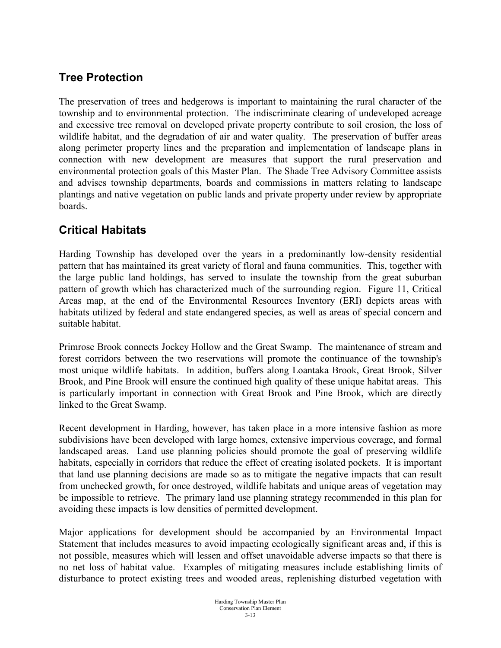## **Tree Protection**

The preservation of trees and hedgerows is important to maintaining the rural character of the township and to environmental protection. The indiscriminate clearing of undeveloped acreage and excessive tree removal on developed private property contribute to soil erosion, the loss of wildlife habitat, and the degradation of air and water quality. The preservation of buffer areas along perimeter property lines and the preparation and implementation of landscape plans in connection with new development are measures that support the rural preservation and environmental protection goals of this Master Plan. The Shade Tree Advisory Committee assists and advises township departments, boards and commissions in matters relating to landscape plantings and native vegetation on public lands and private property under review by appropriate boards.

#### **Critical Habitats**

Harding Township has developed over the years in a predominantly low-density residential pattern that has maintained its great variety of floral and fauna communities. This, together with the large public land holdings, has served to insulate the township from the great suburban pattern of growth which has characterized much of the surrounding region. Figure 11, Critical Areas map, at the end of the Environmental Resources Inventory (ERI) depicts areas with habitats utilized by federal and state endangered species, as well as areas of special concern and suitable habitat.

Primrose Brook connects Jockey Hollow and the Great Swamp. The maintenance of stream and forest corridors between the two reservations will promote the continuance of the township's most unique wildlife habitats. In addition, buffers along Loantaka Brook, Great Brook, Silver Brook, and Pine Brook will ensure the continued high quality of these unique habitat areas. This is particularly important in connection with Great Brook and Pine Brook, which are directly linked to the Great Swamp.

Recent development in Harding, however, has taken place in a more intensive fashion as more subdivisions have been developed with large homes, extensive impervious coverage, and formal landscaped areas. Land use planning policies should promote the goal of preserving wildlife habitats, especially in corridors that reduce the effect of creating isolated pockets. It is important that land use planning decisions are made so as to mitigate the negative impacts that can result from unchecked growth, for once destroyed, wildlife habitats and unique areas of vegetation may be impossible to retrieve. The primary land use planning strategy recommended in this plan for avoiding these impacts is low densities of permitted development.

Major applications for development should be accompanied by an Environmental Impact Statement that includes measures to avoid impacting ecologically significant areas and, if this is not possible, measures which will lessen and offset unavoidable adverse impacts so that there is no net loss of habitat value. Examples of mitigating measures include establishing limits of disturbance to protect existing trees and wooded areas, replenishing disturbed vegetation with